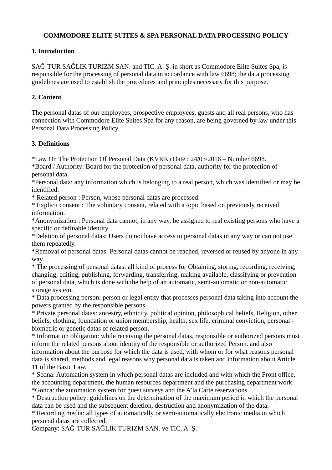## **COMMODORE ELITE SUITES & SPA PERSONAL DATA PROCESSING POLICY**

## **1. Introduction**

SAĞ-TUR SAĞLIK TURIZM SAN. and TIC. A. Ş. in short as Commodore Elite Suites Spa, is responsible for the processing of personal data in accordance with law 6698; the data processing guidelines are used to establish the procedures and principles necessary for this purpose.

## **2. Content**

The personal datas of our employees, prospective employees, guests and all real persons, who has connection with Commodore Elite Suites Spa for any reason, are being governed by law under this Personal Data Processing Policy.

#### **3. Definitions**

\*Law On The Protection Of Personal Data (KVKK) Date : 24/03/2016 – Number 6698.

\*Board / Authority: Board for the protection of personal data, authority for the protection of personal data.

\*Personal data: any information which is belonging to a real person, which was identified or may be identified.

\* Related person : Person, whose personal datas are processed.

\* Explicit consent : The voluntary consent, related with a topic based on previously received information.

\*Anonymization : Personal data cannot, in any way, be assigned to real existing persons who have a specific or definable identity.

\*Deletion of personal datas: Users do not have access to personal datas in any way or can not use them repeatedly.

\*Removal of personal datas: Personal datas cannot be reached, reversed or reused by anyone in any way.

\* The processing of personal datas: all kind of process for Obtaining, storing, recording, receiving, changing, editing, publishing, forwarding, transferring, making available, classifying or prevention of personal data, which is done with the help of an automatic, semi-automatic or non-automatic storage system.

\* Data processing person: person or legal entity that processes personal data taking into account the powers granted by the responsible persons.

\* Private personal datas: ancestry, ethnicity, political opinion, philosophical beliefs, Religion, other beliefs, clothing, foundation or union membership, health, sex life, criminal conviction, personal biometric or genetic datas of related person.

\* Information obligation: while receiving the personal datas, responsible or authorized persons must inform the related persons about identity of the responsible or authorized Person. and also information about the purpose for which the data is used, with whom or for what reasons personal data is shared, methods and legal reasons why personal data is taken and information about Article 11 of the Basic Law.

\* Sedna: Automation system in which personal datas are included and with which the Front office, the accounting department, the human resources department and the purchasing department work. \*Gonca: the automation system for guest surveys and the A'la Carte reservations.

\* Destruction policy: guidelines on the determination of the maximum period in which the personal data can be used and the subsequent deletion, destruction and anonymization of the data.

\* Recording media: all types of automatically or semi-automatically electronic media in which personal datas are collected.

Company: SAĞ-TUR SAĞLIK TURIZM SAN. ve TIC. A. Ş.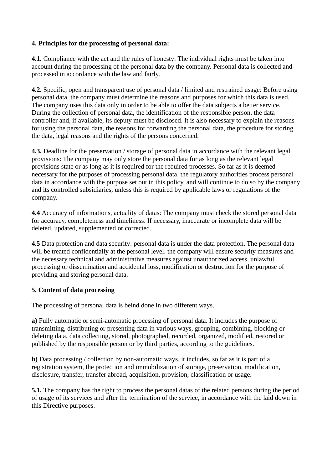### **4. Principles for the processing of personal data:**

**4.1.** Compliance with the act and the rules of honesty: The individual rights must be taken into account during the processing of the personal data by the company. Personal data is collected and processed in accordance with the law and fairly.

**4.2.** Specific, open and transparent use of personal data / limited and restrained usage: Before using personal data, the company must determine the reasons and purposes for which this data is used. The company uses this data only in order to be able to offer the data subjects a better service. During the collection of personal data, the identification of the responsible person, the data controller and, if available, its deputy must be disclosed. It is also necessary to explain the reasons for using the personal data, the reasons for forwarding the personal data, the procedure for storing the data, legal reasons and the rights of the persons concerned.

**4.3.** Deadline for the preservation / storage of personal data in accordance with the relevant legal provisions: The company may only store the personal data for as long as the relevant legal provisions state or as long as it is required for the required processes. So far as it is deemed necessary for the purposes of processing personal data, the regulatory authorities process personal data in accordance with the purpose set out in this policy, and will continue to do so by the company and its controlled subsidiaries, unless this is required by applicable laws or regulations of the company.

**4.4** Accuracy of informations, actuality of datas: The company must check the stored personal data for accuracy, completeness and timeliness. If necessary, inaccurate or incomplete data will be deleted, updated, supplemented or corrected.

**4.5** Data protection and data security: personal data is under the data protection. The personal data will be treated confidentially at the personal level. the company will ensure security measures and the necessary technical and administrative measures against unauthorized access, unlawful processing or dissemination and accidental loss, modification or destruction for the purpose of providing and storing personal data.

#### **5. Content of data processing**

The processing of personal data is beind done in two different ways.

**a)** Fully automatic or semi-automatic processing of personal data. It includes the purpose of transmitting, distributing or presenting data in various ways, grouping, combining, blocking or deleting data, data collecting, stored, photographed, recorded, organized, modified, restored or published by the responsible person or by third parties, according to the guidelines.

**b**) Data processing / collection by non-automatic ways. it includes, so far as it is part of a registration system, the protection and immobilization of storage, preservation, modification, disclosure, transfer, transfer abroad, acquisition, provision, classification or usage.

**5.1.** The company has the right to process the personal datas of the related persons during the period of usage of its services and after the termination of the service, in accordance with the laid down in this Directive purposes.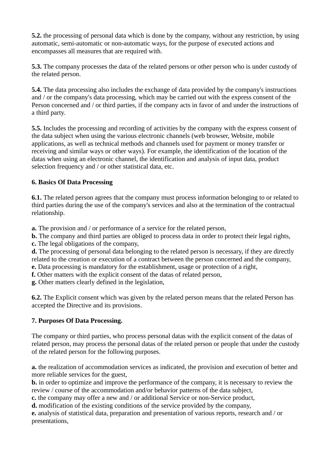**5.2.** the processing of personal data which is done by the company, without any restriction, by using automatic, semi-automatic or non-automatic ways, for the purpose of executed actions and encompasses all measures that are required with.

**5.3.** The company processes the data of the related persons or other person who is under custody of the related person.

**5.4.** The data processing also includes the exchange of data provided by the company's instructions and / or the company's data processing, which may be carried out with the express consent of the Person concerned and / or third parties, if the company acts in favor of and under the instructions of a third party.

**5.5.** Includes the processing and recording of activities by the company with the express consent of the data subject when using the various electronic channels (web browser, Website, mobile applications, as well as technical methods and channels used for payment or money transfer or receiving and similar ways or other ways). For example, the identification of the location of the datas when using an electronic channel, the identification and analysis of input data, product selection frequency and / or other statistical data, etc.

# **6. Basics Of Data Processing**

**6.1.** The related person agrees that the company must process information belonging to or related to third parties during the use of the company's services and also at the termination of the contractual relationship.

**a.** The provision and / or performance of a service for the related person,

**b.** The company and third parties are obliged to process data in order to protect their legal rights,

**c.** The legal obligations of the company,

**d.** The processing of personal data belonging to the related person is necessary, if they are directly related to the creation or execution of a contract between the person concerned and the company,

**e.** Data processing is mandatory for the establishment, usage or protection of a right,

**f.** Other matters with the explicit consent of the datas of related person,

**g.** Other matters clearly defined in the legislation,

**6.2.** The Explicit consent which was given by the related person means that the related Person has accepted the Directive and its provisions.

# **7. Purposes Of Data Processing.**

The company or third parties, who process personal datas with the explicit consent of the datas of related person, may process the personal datas of the related person or people that under the custody of the related person for the following purposes.

**a.** the realization of accommodation services as indicated, the provision and execution of better and more reliable services for the guest,

**b.** in order to optimize and improve the performance of the company, it is necessary to review the review / course of the accommodation and/or behavior patterns of the data subject,

**c.** the company may offer a new and / or additional Service or non-Service product,

**d.** modification of the existing conditions of the service provided by the company,

**e.** analysis of statistical data, preparation and presentation of various reports, research and / or presentations,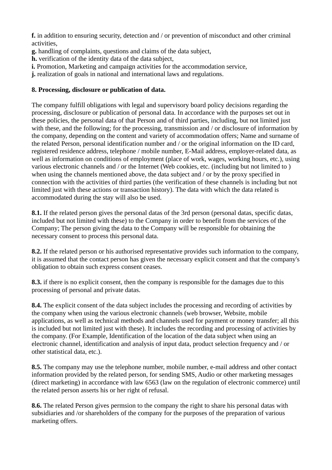**f.** in addition to ensuring security, detection and / or prevention of misconduct and other criminal activities,

- **g.** handling of complaints, questions and claims of the data subject,
- **h.** verification of the identity data of the data subject,
- **i.** Promotion, Marketing and campaign activities for the accommodation service,
- **j.** realization of goals in national and international laws and regulations.

#### **8. Processing, disclosure or publication of data.**

The company fulfill obligations with legal and supervisory board policy decisions regarding the processing, disclosure or publication of personal data. In accordance with the purposes set out in these policies, the personal data of that Person and of third parties, including, but not limited just with these, and the following; for the processing, transmission and / or disclosure of information by the company, depending on the content and variety of accommodation offers; Name and surname of the related Person, personal identification number and / or the original information on the ID card, registered residence address, telephone / mobile number, E-Mail address, employer-related data, as well as information on conditions of employment (place of work, wages, working hours, etc.), using various electronic channels and / or the Internet (Web cookies, etc. (including but not limited to ) when using the channels mentioned above, the data subject and / or by the proxy specified in connection with the activities of third parties (the verification of these channels is including but not limited just with these actions or transaction history). The data with which the data related is accommodated during the stay will also be used.

**8.1.** If the related person gives the personal datas of the 3rd person (personal datas, specific datas, included but not limited with these) to the Company in order to benefit from the services of the Company; The person giving the data to the Company will be responsible for obtaining the necessary consent to process this personal data.

**8.2.** If the related person or his authorised representative provides such information to the company, it is assumed that the contact person has given the necessary explicit consent and that the company's obligation to obtain such express consent ceases.

**8.3.** if there is no explicit consent, then the company is responsible for the damages due to this processing of personal and private datas.

**8.4.** The explicit consent of the data subject includes the processing and recording of activities by the company when using the various electronic channels (web browser, Website, mobile applications, as well as technical methods and channels used for payment or money transfer; all this is included but not limited just with these). It includes the recording and processing of activities by the company. (For Example, Identification of the location of the data subject when using an electronic channel, identification and analysis of input data, product selection frequency and / or other statistical data, etc.).

**8.5.** The company may use the telephone number, mobile number, e-mail address and other contact information provided by the related person, for sending SMS, Audio or other marketing messages (direct marketing) in accordance with law 6563 (law on the regulation of electronic commerce) until the related person asserts his or her right of refusal.

**8.6.** The related Person gives permsion to the company the right to share his personal datas with subsidiaries and /or shareholders of the company for the purposes of the preparation of various marketing offers.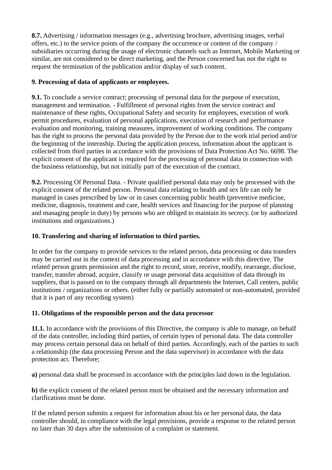**8.7.** Advertising / information messages (e.g., advertising brochure, advertising images, verbal offers, etc.) to the service points of the company the occurrence or content of the company / subsidiaries occurring during the usage of electronic channels such as Internet, Mobile Marketing or similar, are not considered to be direct marketing, and the Person concerned has not the right to request the termination of the publication and/or display of such content.

## **9. Processing of data of applicants or employees.**

**9.1.** To conclude a service contract; processing of personal data for the purpose of execution, management and termination. - Fulfillment of personal rights from the service contract and maintenance of these rights, Occupational Safety and security for employees, execution of work permit procedures, evaluation of personal applications, execution of research and performance evaluation and monitoring, training measures, improvement of working conditions. The company has the right to process the personal data provided by the Person due to the work trial period and/or the beginning of the internship. During the application process, information about the applicant is collected from third parties in accordance with the provisions of Data Protection Act No. 6698. The explicit consent of the applicant is required for the processing of personal data in connection with the business relationship, but not initially part of the execution of the contract.

**9.2.** Processing Of Personal Data. - Private qualified personal data may only be processed with the explicit consent of the related person. Personal data relating to health and sex life can only be managed in cases prescribed by law or in cases concerning public health (preventive medicine, medicine, diagnosis, treatment and care, health services and financing for the purpose of planning and managing people in duty) by persons who are obliged to maintain its secrecy. (or by authorized institutions and organizations.)

## **10. Transfering and sharing of information to third parties.**

In order for the company to provide services to the related person, data processing or data transfers may be carried out in the context of data processing and in accordance with this directive. The related person grants permission and the right to record, store, receive, modify, rearrange, disclose, transfer, transfer abroad, acquire, classify or usage personal data acquisition of data through its suppliers, that is passed on to the company through all departments the Internet, Call centers, public institutions / organizations or others. (either fully or partially automated or non-automated, provided that it is part of any recording system)

# **11. Obligations of the responsible person and the data processor**

**11.1.** In accordance with the provisions of this Directive, the company is able to manage, on behalf of the data controller, including third parties, of certain types of personal data. The data controller may process certain personal data on behalf of third parties. Accordingly, each of the parties to such a relationship (the data processing Person and the data supervisor) in accordance with the data protection act. Therefore;

**a)** personal data shall be processed in accordance with the principles laid down in the legislation.

**b**) the explicit consent of the related person must be obtained and the necessary information and clarifications must be done.

If the related person submits a request for information about his or her personal data, the data controller should, in compliance with the legal provisions, provide a response to the related person no later than 30 days after the submission of a complaint or statement.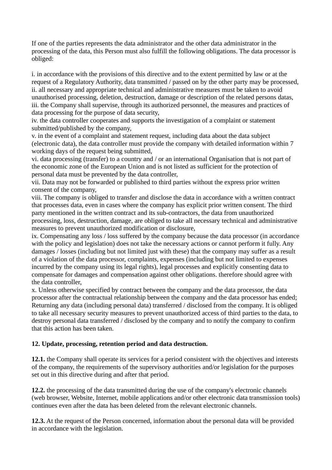If one of the parties represents the data administrator and the other data administrator in the processing of the data, this Person must also fulfill the following obligations. The data processor is obliged:

i. in accordance with the provisions of this directive and to the extent permitted by law or at the request of a Regulatory Authority, data transmitted / passed on by the other party may be processed, ii. all necessary and appropriate technical and administrative measures must be taken to avoid unauthorised processing, deletion, destruction, damage or description of the related persons datas, iii. the Company shall supervise, through its authorized personnel, the measures and practices of data processing for the purpose of data security,

iv. the data controller cooperates and supports the investigation of a complaint or statement submitted/published by the company,

v. in the event of a complaint and statement request, including data about the data subject (electronic data), the data controller must provide the company with detailed information within 7 working days of the request being submitted,

vi. data processing (transfer) to a country and / or an international Organisation that is not part of the economic zone of the European Union and is not listed as sufficient for the protection of personal data must be prevented by the data controller,

vii. Data may not be forwarded or published to third parties without the express prior written consent of the company,

viii. The company is obliged to transfer and disclose the data in accordance with a written contract that processes data, even in cases where the company has explicit prior written consent. The third party mentioned in the written contract and its sub-contractors, the data from unauthorized processing, loss, destruction, damage, are obliged to take all necessary technical and administrative measures to prevent unauthorized modification or disclosure,

ix. Compensating any loss / loss suffered by the company because the data processor (in accordance with the policy and legislation) does not take the necessary actions or cannot perform it fully. Any damages / losses (including but not limited just with these) that the company may suffer as a result of a violation of the data processor, complaints, expenses (including but not limited to expenses incurred by the company using its legal rights), legal processes and explicitly consenting data to compensate for damages and compensation against other obligations. therefore should agree with the data controller,

x. Unless otherwise specified by contract between the company and the data processor, the data processor after the contractual relationship between the company and the data processor has ended; Returning any data (including personal data) transferred / disclosed from the company. It is obliged to take all necessary security measures to prevent unauthorized access of third parties to the data, to destroy personal data transferred / disclosed by the company and to notify the company to confirm that this action has been taken.

# **12. Update, processing, retention period and data destruction.**

**12.1.** the Company shall operate its services for a period consistent with the objectives and interests of the company, the requirements of the supervisory authorities and/or legislation for the purposes set out in this directive during and after that period.

**12.2.** the processing of the data transmitted during the use of the company's electronic channels (web browser, Website, Internet, mobile applications and/or other electronic data transmission tools) continues even after the data has been deleted from the relevant electronic channels.

**12.3.** At the request of the Person concerned, information about the personal data will be provided in accordance with the legislation.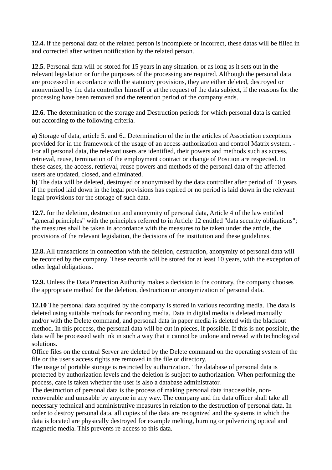**12.4.** if the personal data of the related person is incomplete or incorrect, these datas will be filled in and corrected after written notification by the related person.

**12.5.** Personal data will be stored for 15 years in any situation. or as long as it sets out in the relevant legislation or for the purposes of the processing are required. Although the personal data are processed in accordance with the statutory provisions, they are either deleted, destroyed or anonymized by the data controller himself or at the request of the data subject, if the reasons for the processing have been removed and the retention period of the company ends.

**12.6.** The determination of the storage and Destruction periods for which personal data is carried out according to the following criteria.

**a)** Storage of data, article 5. and 6.. Determination of the in the articles of Association exceptions provided for in the framework of the usage of an access authorization and control Matrix system. - For all personal data, the relevant users are identified, their powers and methods such as access, retrieval, reuse, termination of the employment contract or change of Position are respected. In these cases, the access, retrieval, reuse powers and methods of the personal data of the affected users are updated, closed, and eliminated.

**b**) The data will be deleted, destroyed or anonymised by the data controller after period of 10 years if the period laid down in the legal provisions has expired or no period is laid down in the relevant legal provisions for the storage of such data.

**12.7.** for the deletion, destruction and anonymity of personal data, Article 4 of the law entitled "general principles" with the principles referred to in Article 12 entitled "data security obligations"; the measures shall be taken in accordance with the measures to be taken under the article, the provisions of the relevant legislation, the decisions of the institution and these guidelines.

**12.8.** All transactions in connection with the deletion, destruction, anonymity of personal data will be recorded by the company. These records will be stored for at least 10 years, with the exception of other legal obligations.

**12.9.** Unless the Data Protection Authority makes a decision to the contrary, the company chooses the appropriate method for the deletion, destruction or anonymization of personal data.

**12.10** The personal data acquired by the company is stored in various recording media. The data is deleted using suitable methods for recording media. Data in digital media is deleted manually and/or with the Delete command, and personal data in paper media is deleted with the blackout method. In this process, the personal data will be cut in pieces, if possible. If this is not possible, the data will be processed with ink in such a way that it cannot be undone and reread with technological solutions.

Office files on the central Server are deleted by the Delete command on the operating system of the file or the user's access rights are removed in the file or directory.

The usage of portable storage is restricted by authorization. The database of personal data is protected by authorization levels and the deletion is subject to authorization. When performing the process, care is taken whether the user is also a database administrator.

The destruction of personal data is the process of making personal data inaccessible, nonrecoverable and unusable by anyone in any way. The company and the data officer shall take all necessary technical and administrative measures in relation to the destruction of personal data. In order to destroy personal data, all copies of the data are recognized and the systems in which the data is located are physically destroyed for example melting, burning or pulverizing optical and magnetic media. This prevents re-access to this data.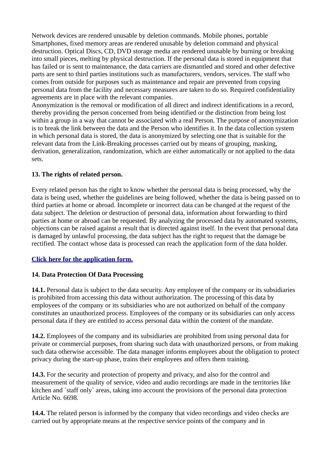Network devices are rendered unusable by deletion commands. Mobile phones, portable Smartphones, fixed memory areas are rendered unusable by deletion command and physical destruction. Optical Discs, CD, DVD storage media are rendered unusable by burning or breaking into small pieces, melting by physical destruction. If the personal data is stored in equipment that has failed or is sent to maintenance, the data carriers are dismantled and stored and other defective parts are sent to third parties institutions such as manufacturers, vendors, services. The staff who comes from outside for purposes such as maintenance and repair are prevented from copying personal data from the facility and necessary measures are taken to do so. Required confidentiality agreements are in place with the relevant companies.

Anonymization is the removal or modification of all direct and indirect identifications in a record, thereby providing the person concerned from being identified or the distinction from being lost within a group in a way that cannot be associated with a real Person. The purpose of anonymization is to break the link between the data and the Person who identifies it. In the data collection system in which personal data is stored, the data is anonymized by selecting one that is suitable for the relevant data from the Link-Breaking processes carried out by means of grouping, masking, derivation, generalization, randomization, which are either automatically or not applied to the data sets.

### **13. The rights of related person.**

Every related person has the right to know whether the personal data is being processed, why the data is being used, whether the guidelines are being followed, whether the data is being passed on to third parties at home or abroad. Incomplete or incorrect data can be changed at the request of the data subject. The deletion or destruction of personal data, information about forwarding to third parties at home or abroad can be requested. By analyzing the processed data by automated systems, objections can be raised against a result that is directed against itself. In the event that personal data is damaged by unlawful processing, the data subject has the right to request that the damage be rectified. The contact whose data is processed can reach the application form of the data holder.

# **[Click here for the application form.](https://www.commodoreelite.com/MesFiles/files/DATA-OWNER-APPLICATION-FORM-ENG%20.pdf)**

#### **14. Data Protection Of Data Processing**

**14.1.** Personal data is subject to the data security. Any employee of the company or its subsidiaries is prohibited from accessing this data without authorization. The processing of this data by employees of the company or its subsidiaries who are not authorized on behalf of the company constitutes an unauthorized process. Employees of the company or its subsidiaries can only access personal data if they are entitled to access personal data within the content of the mandate.

**14.2.** Employees of the company and its subsidiaries are prohibited from using personal data for private or commercial purposes, from sharing such data with unauthorized persons, or from making such data otherwise accessible. The data manager informs employees about the obligation to protect privacy during the start-up phase, trains their employees and offers them training.

**14.3.** For the security and protection of property and privacy, and also for the control and measurement of the quality of service, video and audio recordings are made in the territories like kitchen and `staff only` areas, taking into account the provisions of the personal data protection Article No. 6698.

**14.4.** The related person is informed by the company that video recordings and video checks are carried out by appropriate means at the respective service points of the company and in